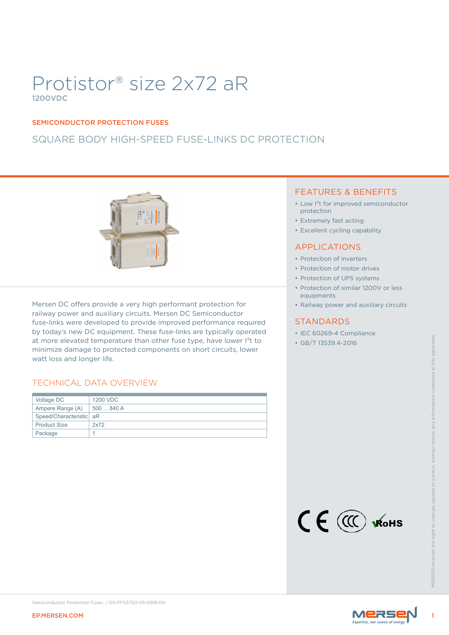# Protistor® size 2x72 aR 1200VDC

#### SEMICONDUCTOR PROTECTION FUSES

# SQUARE BODY HIGH-SPEED FUSE-LINKS DC PROTECTION



Mersen DC offers provide a very high performant protection for railway power and auxiliary circuits. Mersen DC Semiconductor fuse-links were developed to provide improved performance required by today's new DC equipment. These fuse-links are typically operated at more elevated temperature than other fuse type, have lower I<sup>2</sup>t to minimize damage to protected components on short circuits, lower watt loss and longer life.

### TECHNICAL DATA OVERVIEW

| watt loss and longer life. | at more elevated temperature than other fuse type, have lower l <sup>2</sup> t to<br>minimize damage to protected components on short circuits, lower | ILC OUZUS T COMPIUNICE<br>• GB/T 13539.4-2016 |                |
|----------------------------|-------------------------------------------------------------------------------------------------------------------------------------------------------|-----------------------------------------------|----------------|
|                            | TECHNICAL DATA OVERVIEW                                                                                                                               |                                               |                |
| Voltage DC                 | 1200 VDC                                                                                                                                              |                                               |                |
| Ampere Range (A)           | 500  840 A                                                                                                                                            |                                               |                |
| Speed/Characteristic aR    |                                                                                                                                                       |                                               |                |
| <b>Product Size</b>        | 2x72                                                                                                                                                  |                                               |                |
| Package                    | $\mathbf{1}$                                                                                                                                          |                                               |                |
|                            |                                                                                                                                                       | CE CO WOHS                                    | <b>VIFRSFN</b> |
| <b>EP.MERSEN.COM</b>       | Semiconductor Protection Fuses / DS-PFS37SD-05-0918-EN                                                                                                | <b>MERSE</b>                                  |                |
|                            |                                                                                                                                                       |                                               |                |

### FEATURES & BENEFITS

- Low I²t for improved semiconductor protection
- Extremely fast acting
- Excellent cycling capability

### APPLICATIONS

- Protection of inverters
- Protection of motor drives
- Protection of UPS systems
- Protection of similar 1200V or less equipments
- Railway power and auxiliary circuits

### **STANDARDS**

- IEC 60269-4 Compliance
- GB/T 13539.4-2016





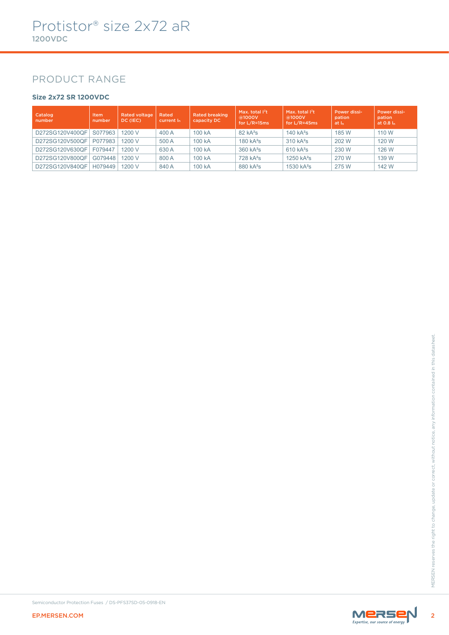### PRODUCT RANGE

### **Size 2x72 SR 1200VDC**

| Catalog<br>number | Item<br>number | <b>Rated voltage</b><br>DC (IEC) | Rated<br>current I <sub>n</sub> | <b>Rated breaking</b><br>capacity DC | Max. total $I^2t$<br>@1000V<br>for $L/R = 15ms$ | Max. total $1^2t$<br>@1000V<br>for $L/R = 45ms$ | Power dissi-<br>pation<br>at I <sub>n</sub> | Power dissi-<br>pation<br>at $0.8 \, \mathrm{I}$ |
|-------------------|----------------|----------------------------------|---------------------------------|--------------------------------------|-------------------------------------------------|-------------------------------------------------|---------------------------------------------|--------------------------------------------------|
| D272SG120V400QF   | S077963        | 1200 V                           | 400 A                           | 100 kA                               | 82 kA <sup>2</sup> S                            | $140 kA^2s$                                     | 185 W                                       | 110 W                                            |
| D272SG120V500QF   | P077983        | 1200 V                           | 500 A                           | 100 kA                               | $180 kA^2s$                                     | $310 kA^2s$                                     | 202 W                                       | 120 W                                            |
| D272SG120V630OF   | F079447        | 1200 V                           | 630 A                           | 100 kA                               | $360 kA^2s$                                     | $610 kA^2s$                                     | 230 W                                       | 126 W                                            |
| D272SG120V800QF   | G079448        | 1200 V                           | 800 A                           | 100 kA                               | $728$ kA <sup>2</sup> s                         | $1250 kA^2s$                                    | 270 W                                       | 139 W                                            |
| D272SG120V840QF   | H079449        | 1200 V                           | 840 A                           | 100 kA                               | 880 kA <sup>2</sup> s                           | $1530 kA^2s$                                    | 275 W                                       | 142 W                                            |



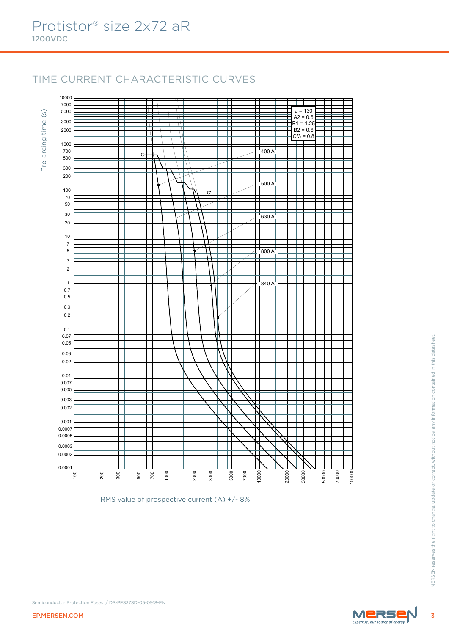10000

# TIME CURRENT CHARACTERISTIC CURVES

╪

╈╪ ₩ 7000 5000  $a = 130$  $\circ$ Pre-arcing time (s) Ï  $A2 = 0.6$ ╫ H Ŧ Pre-arcing time 3000 ╫  $B1 = 1.25$ H 2000  $B2 = 0.6$ ╜  $Cf3 = 0.8$ 1000  $\begin{array}{c|c}\n\hline\n\multicolumn{1}{r}{\phantom{1}}\n\end{array}$ 700  $_{\rm e}$ 500 ₹ Ŧ  $\mathbb {H}$ 300 ∓ Ħ ╅ ╅ 200 H<br>Zi Ŧ  $\Box$ T 500 A 100 ŧ  $_{\rm e}$  $\sqrt{2}$ 70 Ι 50  $\frac{1}{630 A}$ 2222 ⋿ TH. 30 ╪ Ŧ Ŧ 20 I  $\overline{\phantom{1}}$  $\Box$ ┱  $\overline{\phantom{a}}$ 10 ╪ 7 5 800 A 3 Ŧ ╤ Ŧ ŦĦ Ŧ 2  $\overline{A}$ ┱  $\top$ ┱  $\begin{array}{c|c}\n\hline\n& 840 A \\
\hline\n\end{array}$  $\overline{\phantom{a}}$ 1 Ħ Ŧ ╪ ╪ 0.7 0.5 ╪ 井田 ⋕ ╪  $\overline{\mathbb{X}}$ 0.3 Ħ ┱ 0.2 ┱ ┱ Т 0.1 0.07 EP.MERSEN.COM <sup>3</sup>MERSEN reserves the right to change, update or correct, without notice, any information contained in this datasheet. 0.05 0.03 0.02 0.01 0.007 0.005 0.003 0.002 0.001 0.0007 0.0005 0.0003 0.0002 0.0001 200 2000 5000 7000 20000 30000 50000 70000  $\overline{8}$ 300 500 700 1000 3000 10000

RMS value of prospective current (A) +/- 8%



100000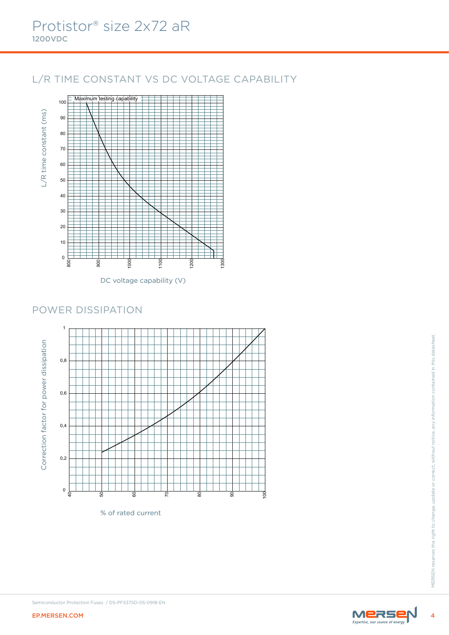# L/R TIME CONSTANT VS DC VOLTAGE CAPABILITY



DC voltage capability (V)

### POWER DISSIPATION



% of rated current

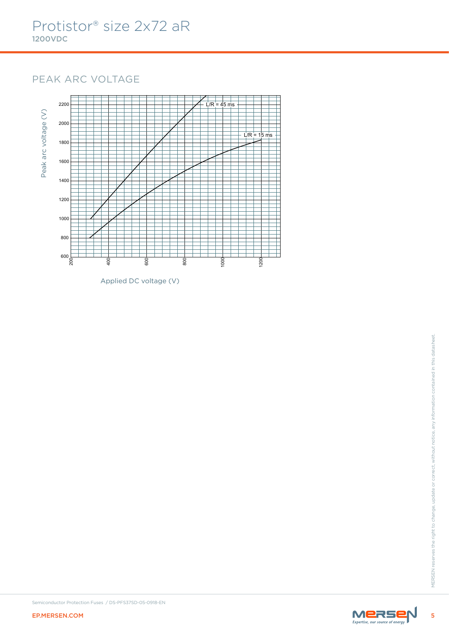# PEAK ARC VOLTAGE



Applied DC voltage (V)